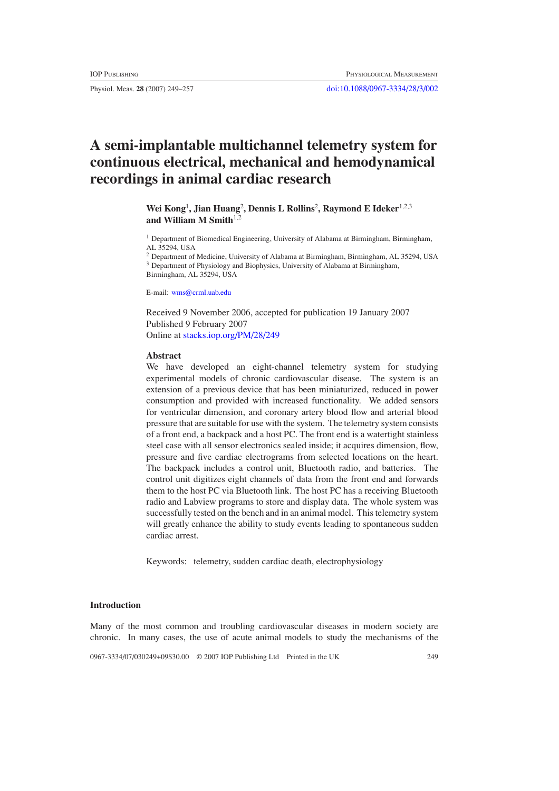# **A semi-implantable multichannel telemetry system for continuous electrical, mechanical and hemodynamical recordings in animal cardiac research**

**Wei Kong**<sup>1</sup> **, Jian Huang**<sup>2</sup> **, Dennis L Rollins**<sup>2</sup> **, Raymond E Ideker**1,2,3 and William M Smith<sup>1,2</sup>

<sup>1</sup> Department of Biomedical Engineering, University of Alabama at Birmingham, Birmingham, AL 35294, USA

<sup>2</sup> Department of Medicine, University of Alabama at Birmingham, Birmingham, AL 35294, USA <sup>3</sup> Department of Physiology and Biophysics, University of Alabama at Birmingham, Birmingham, AL 35294, USA

E-mail: [wms@crml.uab.edu](mailto:wms@crml.uab.edu)

Received 9 November 2006, accepted for publication 19 January 2007 Published 9 February 2007 Online at [stacks.iop.org/PM/28/249](http://stacks.iop.org/PM/28/249)

### **Abstract**

We have developed an eight-channel telemetry system for studying experimental models of chronic cardiovascular disease. The system is an extension of a previous device that has been miniaturized, reduced in power consumption and provided with increased functionality. We added sensors for ventricular dimension, and coronary artery blood flow and arterial blood pressure that are suitable for use with the system. The telemetry system consists of a front end, a backpack and a host PC. The front end is a watertight stainless steel case with all sensor electronics sealed inside; it acquires dimension, flow, pressure and five cardiac electrograms from selected locations on the heart. The backpack includes a control unit, Bluetooth radio, and batteries. The control unit digitizes eight channels of data from the front end and forwards them to the host PC via Bluetooth link. The host PC has a receiving Bluetooth radio and Labview programs to store and display data. The whole system was successfully tested on the bench and in an animal model. This telemetry system will greatly enhance the ability to study events leading to spontaneous sudden cardiac arrest.

Keywords: telemetry, sudden cardiac death, electrophysiology

# **Introduction**

Many of the most common and troubling cardiovascular diseases in modern society are chronic. In many cases, the use of acute animal models to study the mechanisms of the

0967-3334/07/030249+09\$30.00 © 2007 IOP Publishing Ltd Printed in the UK 249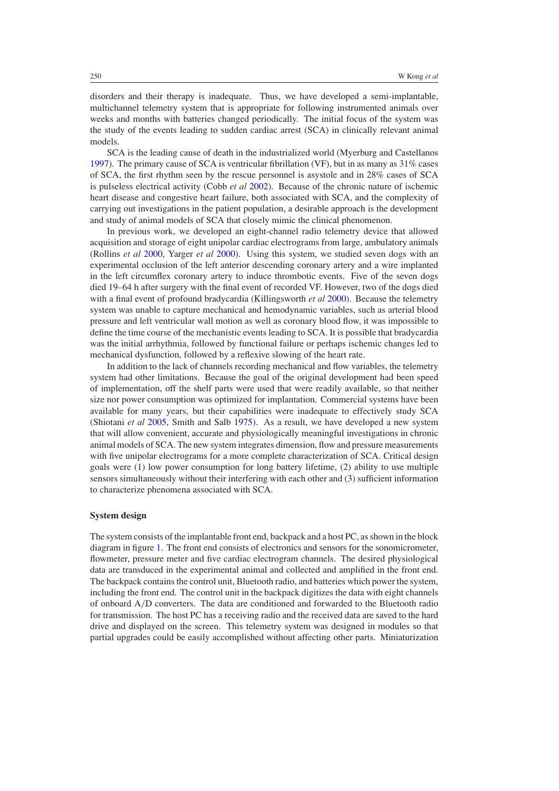disorders and their therapy is inadequate. Thus, we have developed a semi-implantable, multichannel telemetry system that is appropriate for following instrumented animals over weeks and months with batteries changed periodically. The initial focus of the system was the study of the events leading to sudden cardiac arrest (SCA) in clinically relevant animal models.

SCA is the leading cause of death in the industrialized world (Myerburg and Castellanos [1997\)](#page-7-0). The primary cause of SCA is ventricular fibrillation (VF), but in as many as 31% cases of SCA, the first rhythm seen by the rescue personnel is asystole and in 28% cases of SCA is pulseless electrical activity (Cobb *et al* [2002](#page-7-0)). Because of the chronic nature of ischemic heart disease and congestive heart failure, both associated with SCA, and the complexity of carrying out investigations in the patient population, a desirable approach is the development and study of animal models of SCA that closely mimic the clinical phenomenon.

In previous work, we developed an eight-channel radio telemetry device that allowed acquisition and storage of eight unipolar cardiac electrograms from large, ambulatory animals (Rollins *et al* [2000,](#page-7-0) Yarger *et al* [2000](#page-8-0)). Using this system, we studied seven dogs with an experimental occlusion of the left anterior descending coronary artery and a wire implanted in the left circumflex coronary artery to induce thrombotic events. Five of the seven dogs died 19–64 h after surgery with the final event of recorded VF. However, two of the dogs died with a final event of profound bradycardia (Killingsworth *et al* [2000](#page-7-0)). Because the telemetry system was unable to capture mechanical and hemodynamic variables, such as arterial blood pressure and left ventricular wall motion as well as coronary blood flow, it was impossible to define the time course of the mechanistic events leading to SCA. It is possible that bradycardia was the initial arrhythmia, followed by functional failure or perhaps ischemic changes led to mechanical dysfunction, followed by a reflexive slowing of the heart rate.

In addition to the lack of channels recording mechanical and flow variables, the telemetry system had other limitations. Because the goal of the original development had been speed of implementation, off the shelf parts were used that were readily available, so that neither size nor power consumption was optimized for implantation. Commercial systems have been available for many years, but their capabilities were inadequate to effectively study SCA (Shiotani *et al* [2005](#page-8-0), Smith and Salb [1975\)](#page-8-0). As a result, we have developed a new system that will allow convenient, accurate and physiologically meaningful investigations in chronic animal models of SCA. The new system integrates dimension, flow and pressure measurements with five unipolar electrograms for a more complete characterization of SCA. Critical design goals were (1) low power consumption for long battery lifetime, (2) ability to use multiple sensors simultaneously without their interfering with each other and (3) sufficient information to characterize phenomena associated with SCA.

#### **System design**

The system consists of the implantable front end, backpack and a host PC, as shown in the block diagram in figure [1.](#page-2-0) The front end consists of electronics and sensors for the sonomicrometer, flowmeter, pressure meter and five cardiac electrogram channels. The desired physiological data are transduced in the experimental animal and collected and amplified in the front end. The backpack contains the control unit, Bluetooth radio, and batteries which power the system, including the front end. The control unit in the backpack digitizes the data with eight channels of onboard A*/*D converters. The data are conditioned and forwarded to the Bluetooth radio for transmission. The host PC has a receiving radio and the received data are saved to the hard drive and displayed on the screen. This telemetry system was designed in modules so that partial upgrades could be easily accomplished without affecting other parts. Miniaturization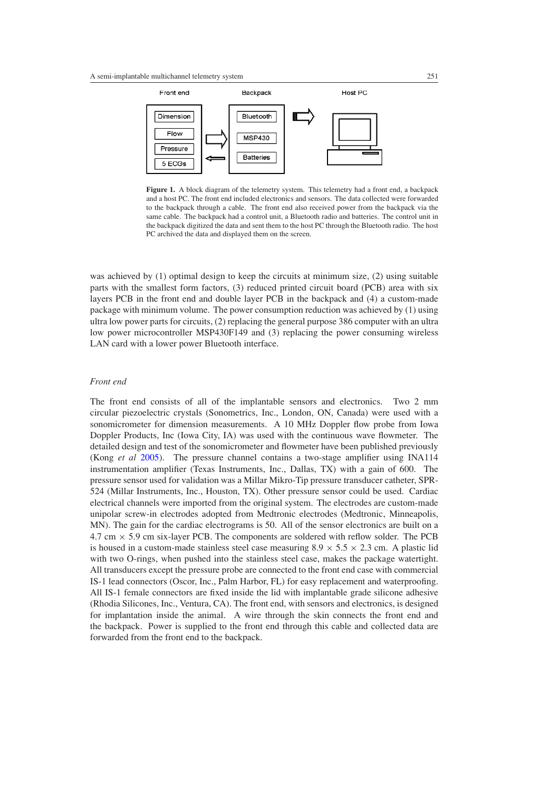<span id="page-2-0"></span>

**Figure 1.** A block diagram of the telemetry system. This telemetry had a front end, a backpack and a host PC. The front end included electronics and sensors. The data collected were forwarded to the backpack through a cable. The front end also received power from the backpack via the same cable. The backpack had a control unit, a Bluetooth radio and batteries. The control unit in the backpack digitized the data and sent them to the host PC through the Bluetooth radio. The host PC archived the data and displayed them on the screen.

was achieved by (1) optimal design to keep the circuits at minimum size, (2) using suitable parts with the smallest form factors, (3) reduced printed circuit board (PCB) area with six layers PCB in the front end and double layer PCB in the backpack and (4) a custom-made package with minimum volume. The power consumption reduction was achieved by (1) using ultra low power parts for circuits, (2) replacing the general purpose 386 computer with an ultra low power microcontroller MSP430F149 and (3) replacing the power consuming wireless LAN card with a lower power Bluetooth interface.

#### *Front end*

The front end consists of all of the implantable sensors and electronics. Two 2 mm circular piezoelectric crystals (Sonometrics, Inc., London, ON, Canada) were used with a sonomicrometer for dimension measurements. A 10 MHz Doppler flow probe from Iowa Doppler Products, Inc (Iowa City, IA) was used with the continuous wave flowmeter. The detailed design and test of the sonomicrometer and flowmeter have been published previously (Kong *et al* [2005](#page-7-0)). The pressure channel contains a two-stage amplifier using INA114 instrumentation amplifier (Texas Instruments, Inc., Dallas, TX) with a gain of 600. The pressure sensor used for validation was a Millar Mikro-Tip pressure transducer catheter, SPR-524 (Millar Instruments, Inc., Houston, TX). Other pressure sensor could be used. Cardiac electrical channels were imported from the original system. The electrodes are custom-made unipolar screw-in electrodes adopted from Medtronic electrodes (Medtronic, Minneapolis, MN). The gain for the cardiac electrograms is 50. All of the sensor electronics are built on a  $4.7 \text{ cm} \times 5.9 \text{ cm}$  six-layer PCB. The components are soldered with reflow solder. The PCB is housed in a custom-made stainless steel case measuring  $8.9 \times 5.5 \times 2.3$  cm. A plastic lid with two O-rings, when pushed into the stainless steel case, makes the package watertight. All transducers except the pressure probe are connected to the front end case with commercial IS-1 lead connectors (Oscor, Inc., Palm Harbor, FL) for easy replacement and waterproofing. All IS-1 female connectors are fixed inside the lid with implantable grade silicone adhesive (Rhodia Silicones, Inc., Ventura, CA). The front end, with sensors and electronics, is designed for implantation inside the animal. A wire through the skin connects the front end and the backpack. Power is supplied to the front end through this cable and collected data are forwarded from the front end to the backpack.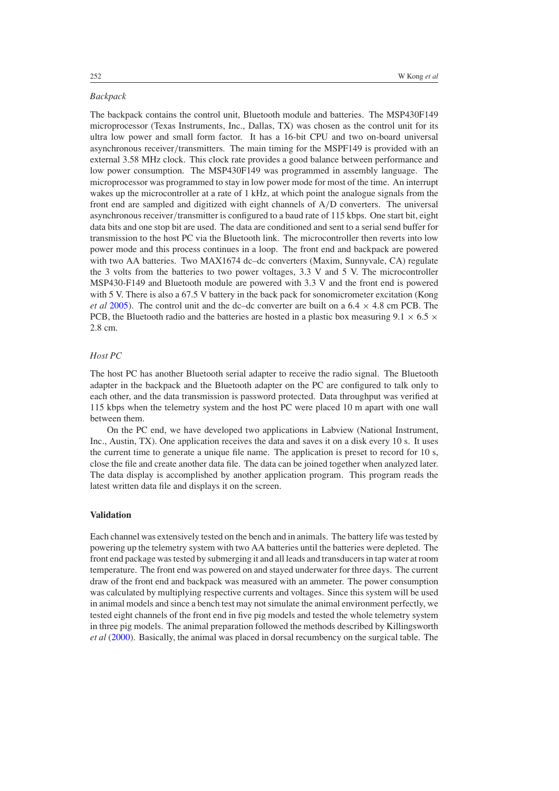# *Backpack*

The backpack contains the control unit, Bluetooth module and batteries. The MSP430F149 microprocessor (Texas Instruments, Inc., Dallas, TX) was chosen as the control unit for its ultra low power and small form factor. It has a 16-bit CPU and two on-board universal asynchronous receiver*/*transmitters. The main timing for the MSPF149 is provided with an external 3.58 MHz clock. This clock rate provides a good balance between performance and low power consumption. The MSP430F149 was programmed in assembly language. The microprocessor was programmed to stay in low power mode for most of the time. An interrupt wakes up the microcontroller at a rate of 1 kHz, at which point the analogue signals from the front end are sampled and digitized with eight channels of A*/*D converters. The universal asynchronous receiver*/*transmitter is configured to a baud rate of 115 kbps. One start bit, eight data bits and one stop bit are used. The data are conditioned and sent to a serial send buffer for transmission to the host PC via the Bluetooth link. The microcontroller then reverts into low power mode and this process continues in a loop. The front end and backpack are powered with two AA batteries. Two MAX1674 dc–dc converters (Maxim, Sunnyvale, CA) regulate the 3 volts from the batteries to two power voltages, 3.3 V and 5 V. The microcontroller MSP430-F149 and Bluetooth module are powered with 3.3 V and the front end is powered with 5 V. There is also a 67.5 V battery in the back pack for sonomicrometer excitation (Kong *et al* [2005\)](#page-7-0). The control unit and the dc–dc converter are built on a  $6.4 \times 4.8$  cm PCB. The PCB, the Bluetooth radio and the batteries are hosted in a plastic box measuring  $9.1 \times 6.5 \times$ 2.8 cm.

# *Host PC*

The host PC has another Bluetooth serial adapter to receive the radio signal. The Bluetooth adapter in the backpack and the Bluetooth adapter on the PC are configured to talk only to each other, and the data transmission is password protected. Data throughput was verified at 115 kbps when the telemetry system and the host PC were placed 10 m apart with one wall between them.

On the PC end, we have developed two applications in Labview (National Instrument, Inc., Austin, TX). One application receives the data and saves it on a disk every 10 s. It uses the current time to generate a unique file name. The application is preset to record for 10 s, close the file and create another data file. The data can be joined together when analyzed later. The data display is accomplished by another application program. This program reads the latest written data file and displays it on the screen.

# **Validation**

Each channel was extensively tested on the bench and in animals. The battery life was tested by powering up the telemetry system with two AA batteries until the batteries were depleted. The front end package was tested by submerging it and all leads and transducers in tap water at room temperature. The front end was powered on and stayed underwater for three days. The current draw of the front end and backpack was measured with an ammeter. The power consumption was calculated by multiplying respective currents and voltages. Since this system will be used in animal models and since a bench test may not simulate the animal environment perfectly, we tested eight channels of the front end in five pig models and tested the whole telemetry system in three pig models. The animal preparation followed the methods described by Killingsworth *et al* [\(2000](#page-7-0)). Basically, the animal was placed in dorsal recumbency on the surgical table. The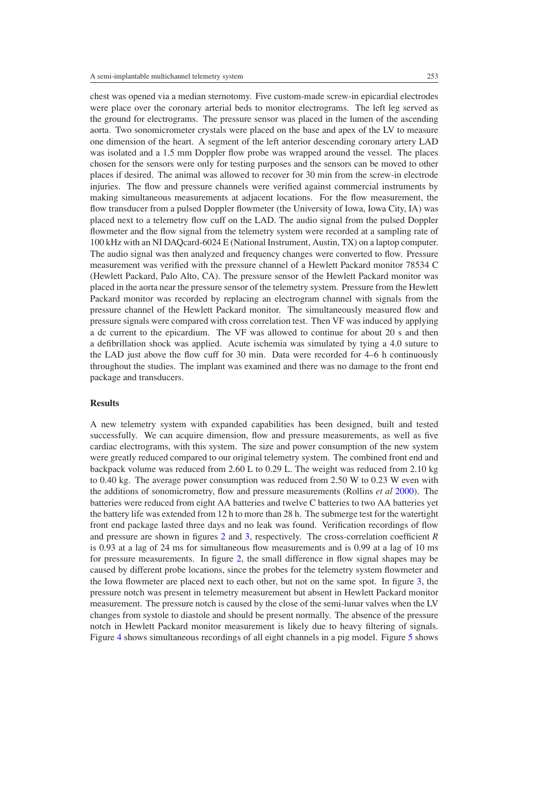chest was opened via a median sternotomy. Five custom-made screw-in epicardial electrodes were place over the coronary arterial beds to monitor electrograms. The left leg served as the ground for electrograms. The pressure sensor was placed in the lumen of the ascending aorta. Two sonomicrometer crystals were placed on the base and apex of the LV to measure one dimension of the heart. A segment of the left anterior descending coronary artery LAD was isolated and a 1.5 mm Doppler flow probe was wrapped around the vessel. The places chosen for the sensors were only for testing purposes and the sensors can be moved to other places if desired. The animal was allowed to recover for 30 min from the screw-in electrode injuries. The flow and pressure channels were verified against commercial instruments by making simultaneous measurements at adjacent locations. For the flow measurement, the flow transducer from a pulsed Doppler flowmeter (the University of Iowa, Iowa City, IA) was placed next to a telemetry flow cuff on the LAD. The audio signal from the pulsed Doppler flowmeter and the flow signal from the telemetry system were recorded at a sampling rate of 100 kHz with an NI DAQcard-6024 E (National Instrument, Austin, TX) on a laptop computer. The audio signal was then analyzed and frequency changes were converted to flow. Pressure measurement was verified with the pressure channel of a Hewlett Packard monitor 78534 C (Hewlett Packard, Palo Alto, CA). The pressure sensor of the Hewlett Packard monitor was placed in the aorta near the pressure sensor of the telemetry system. Pressure from the Hewlett Packard monitor was recorded by replacing an electrogram channel with signals from the pressure channel of the Hewlett Packard monitor. The simultaneously measured flow and pressure signals were compared with cross correlation test. Then VF was induced by applying a dc current to the epicardium. The VF was allowed to continue for about 20 s and then a defibrillation shock was applied. Acute ischemia was simulated by tying a 4.0 suture to the LAD just above the flow cuff for 30 min. Data were recorded for 4–6 h continuously throughout the studies. The implant was examined and there was no damage to the front end package and transducers.

### **Results**

A new telemetry system with expanded capabilities has been designed, built and tested successfully. We can acquire dimension, flow and pressure measurements, as well as five cardiac electrograms, with this system. The size and power consumption of the new system were greatly reduced compared to our original telemetry system. The combined front end and backpack volume was reduced from 2.60 L to 0.29 L. The weight was reduced from 2.10 kg to 0.40 kg. The average power consumption was reduced from 2.50 W to 0.23 W even with the additions of sonomicrometry, flow and pressure measurements (Rollins *et al* [2000\)](#page-7-0). The batteries were reduced from eight AA batteries and twelve C batteries to two AA batteries yet the battery life was extended from 12 h to more than 28 h. The submerge test for the watertight front end package lasted three days and no leak was found. Verification recordings of flow and pressure are shown in figures [2](#page-5-0) and [3,](#page-5-0) respectively. The cross-correlation coefficient *R* is 0.93 at a lag of 24 ms for simultaneous flow measurements and is 0.99 at a lag of 10 ms for pressure measurements. In figure [2,](#page-5-0) the small difference in flow signal shapes may be caused by different probe locations, since the probes for the telemetry system flowmeter and the Iowa flowmeter are placed next to each other, but not on the same spot. In figure [3,](#page-5-0) the pressure notch was present in telemetry measurement but absent in Hewlett Packard monitor measurement. The pressure notch is caused by the close of the semi-lunar valves when the LV changes from systole to diastole and should be present normally. The absence of the pressure notch in Hewlett Packard monitor measurement is likely due to heavy filtering of signals. Figure [4](#page-6-0) shows simultaneous recordings of all eight channels in a pig model. Figure [5](#page-6-0) shows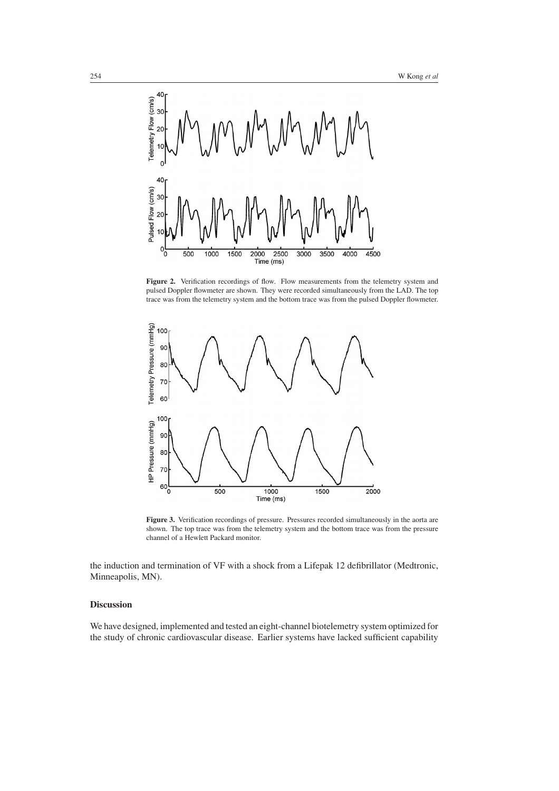<span id="page-5-0"></span>

Figure 2. Verification recordings of flow. Flow measurements from the telemetry system and pulsed Doppler flowmeter are shown. They were recorded simultaneously from the LAD. The top trace was from the telemetry system and the bottom trace was from the pulsed Doppler flowmeter.



Figure 3. Verification recordings of pressure. Pressures recorded simultaneously in the aorta are shown. The top trace was from the telemetry system and the bottom trace was from the pressure channel of a Hewlett Packard monitor.

the induction and termination of VF with a shock from a Lifepak 12 defibrillator (Medtronic, Minneapolis, MN).

# **Discussion**

We have designed, implemented and tested an eight-channel biotelemetry system optimized for the study of chronic cardiovascular disease. Earlier systems have lacked sufficient capability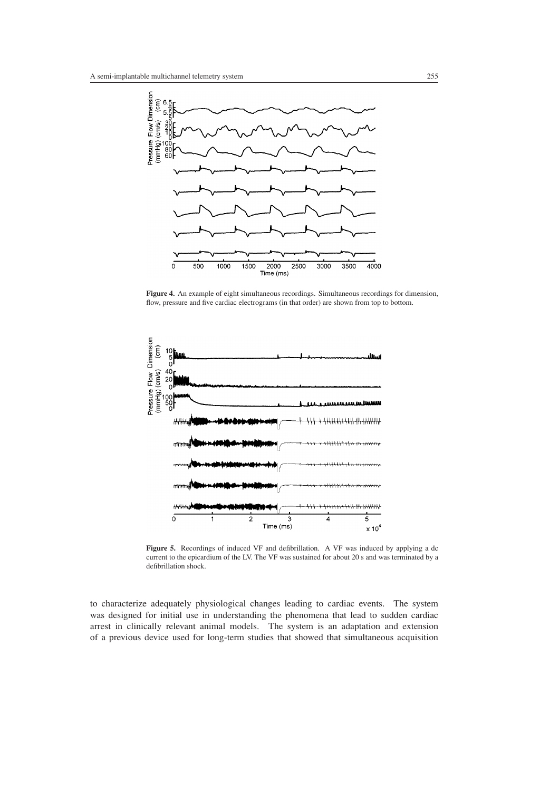<span id="page-6-0"></span>

**Figure 4.** An example of eight simultaneous recordings. Simultaneous recordings for dimension, flow, pressure and five cardiac electrograms (in that order) are shown from top to bottom.



**Figure 5.** Recordings of induced VF and defibrillation. A VF was induced by applying a dc current to the epicardium of the LV. The VF was sustained for about 20 s and was terminated by a defibrillation shock.

to characterize adequately physiological changes leading to cardiac events. The system was designed for initial use in understanding the phenomena that lead to sudden cardiac arrest in clinically relevant animal models. The system is an adaptation and extension of a previous device used for long-term studies that showed that simultaneous acquisition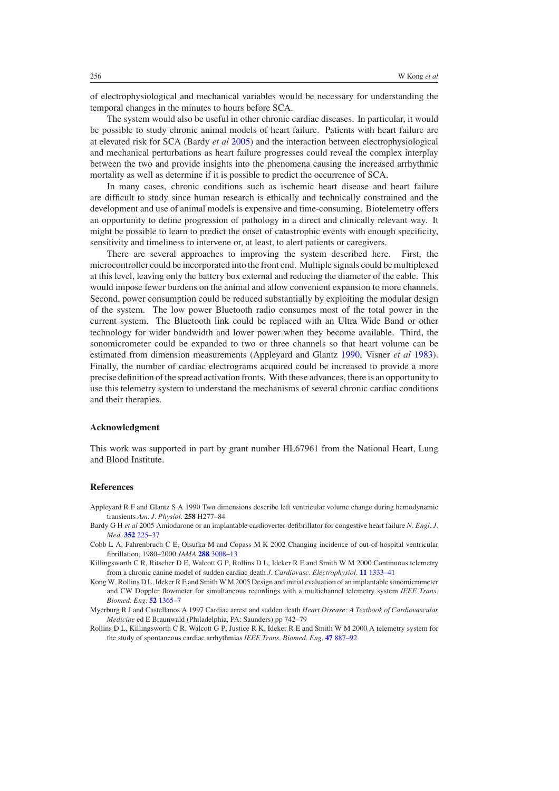<span id="page-7-0"></span>of electrophysiological and mechanical variables would be necessary for understanding the temporal changes in the minutes to hours before SCA.

The system would also be useful in other chronic cardiac diseases. In particular, it would be possible to study chronic animal models of heart failure. Patients with heart failure are at elevated risk for SCA (Bardy *et al* 2005) and the interaction between electrophysiological and mechanical perturbations as heart failure progresses could reveal the complex interplay between the two and provide insights into the phenomena causing the increased arrhythmic mortality as well as determine if it is possible to predict the occurrence of SCA.

In many cases, chronic conditions such as ischemic heart disease and heart failure are difficult to study since human research is ethically and technically constrained and the development and use of animal models is expensive and time-consuming. Biotelemetry offers an opportunity to define progression of pathology in a direct and clinically relevant way. It might be possible to learn to predict the onset of catastrophic events with enough specificity, sensitivity and timeliness to intervene or, at least, to alert patients or caregivers.

There are several approaches to improving the system described here. First, the microcontroller could be incorporated into the front end. Multiple signals could be multiplexed at this level, leaving only the battery box external and reducing the diameter of the cable. This would impose fewer burdens on the animal and allow convenient expansion to more channels. Second, power consumption could be reduced substantially by exploiting the modular design of the system. The low power Bluetooth radio consumes most of the total power in the current system. The Bluetooth link could be replaced with an Ultra Wide Band or other technology for wider bandwidth and lower power when they become available. Third, the sonomicrometer could be expanded to two or three channels so that heart volume can be estimated from dimension measurements (Appleyard and Glantz 1990, Visner *et al* [1983\)](#page-8-0). Finally, the number of cardiac electrograms acquired could be increased to provide a more precise definition of the spread activation fronts. With these advances, there is an opportunity to use this telemetry system to understand the mechanisms of several chronic cardiac conditions and their therapies.

### **Acknowledgment**

This work was supported in part by grant number HL67961 from the National Heart, Lung and Blood Institute.

### **References**

- Appleyard R F and Glantz S A 1990 Two dimensions describe left ventricular volume change during hemodynamic transients *Am. J. Physiol.* **258** H277–84
- Bardy G H *et al* 2005 Amiodarone or an implantable cardioverter-defibrillator for congestive heart failure *N. Engl. J. Med.* **352** [225–37](http://dx.doi.org/10.1056/NEJMoa043399)
- Cobb L A, Fahrenbruch C E, Olsufka M and Copass M K 2002 Changing incidence of out-of-hospital ventricular fibrillation, 1980–2000 *JAMA* **288** [3008–13](http://dx.doi.org/10.1001/jama.288.23.3008)
- Killingsworth C R, Ritscher D E, Walcott G P, Rollins D L, Ideker R E and Smith W M 2000 Continuous telemetry from a chronic canine model of sudden cardiac death *J. Cardiovasc. Electrophysiol.* **11** [1333–41](http://dx.doi.org/10.1046/j.1540-8167.2000.01333.x)
- Kong W, Rollins D L, Ideker R E and Smith W M 2005 Design and initial evaluation of an implantable sonomicrometer and CW Doppler flowmeter for simultaneous recordings with a multichannel telemetry system *IEEE Trans. Biomed. Eng.* **52** [1365–7](http://dx.doi.org/10.1109/TBME.2005.847560)
- Myerburg R J and Castellanos A 1997 Cardiac arrest and sudden death *Heart Disease: A Textbook of Cardiovascular Medicine* ed E Braunwald (Philadelphia, PA: Saunders) pp 742–79
- Rollins D L, Killingsworth C R, Walcott G P, Justice R K, Ideker R E and Smith W M 2000 A telemetry system for the study of spontaneous cardiac arrhythmias *IEEE Trans. Biomed. Eng.* **47** [887–92](http://dx.doi.org/10.1109/10.846682)